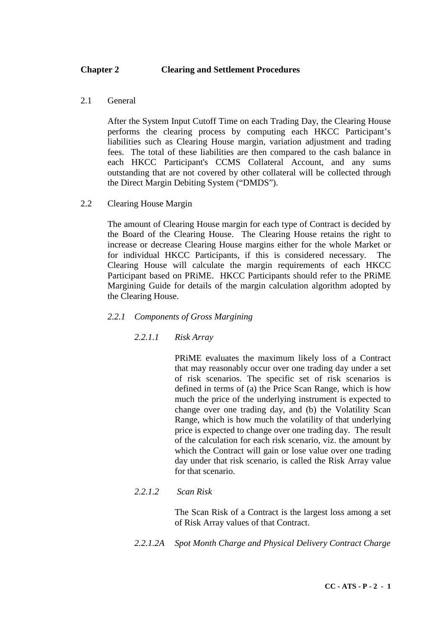# **Chapter 2 Clearing and Settlement Procedures**

2.1 General

After the System Input Cutoff Time on each Trading Day, the Clearing House performs the clearing process by computing each HKCC Participant's liabilities such as Clearing House margin, variation adjustment and trading fees. The total of these liabilities are then compared to the cash balance in each HKCC Participant's CCMS Collateral Account, and any sums outstanding that are not covered by other collateral will be collected through the Direct Margin Debiting System ("DMDS").

2.2 Clearing House Margin

The amount of Clearing House margin for each type of Contract is decided by the Board of the Clearing House. The Clearing House retains the right to increase or decrease Clearing House margins either for the whole Market or for individual HKCC Participants, if this is considered necessary. The Clearing House will calculate the margin requirements of each HKCC Participant based on PRiME. HKCC Participants should refer to the PRiME Margining Guide for details of the margin calculation algorithm adopted by the Clearing House.

- *2.2.1 Components of Gross Margining*
	- *2.2.1.1 Risk Array*

PRiME evaluates the maximum likely loss of a Contract that may reasonably occur over one trading day under a set of risk scenarios. The specific set of risk scenarios is defined in terms of (a) the Price Scan Range, which is how much the price of the underlying instrument is expected to change over one trading day, and (b) the Volatility Scan Range, which is how much the volatility of that underlying price is expected to change over one trading day. The result of the calculation for each risk scenario, viz. the amount by which the Contract will gain or lose value over one trading day under that risk scenario, is called the Risk Array value for that scenario.

*2.2.1.2 Scan Risk*

The Scan Risk of a Contract is the largest loss among a set of Risk Array values of that Contract.

*2.2.1.2A Spot Month Charge and Physical Delivery Contract Charge*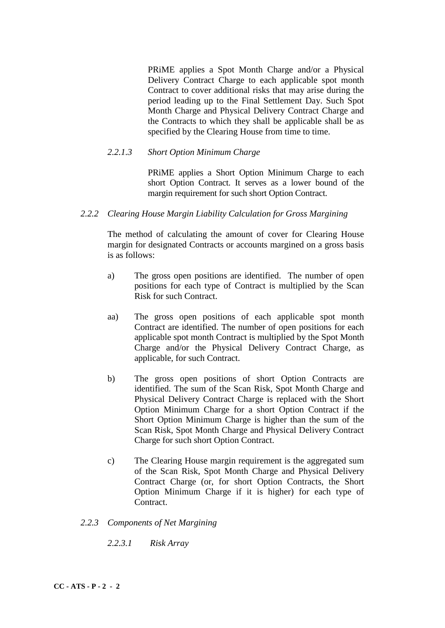PRiME applies a Spot Month Charge and/or a Physical Delivery Contract Charge to each applicable spot month Contract to cover additional risks that may arise during the period leading up to the Final Settlement Day. Such Spot Month Charge and Physical Delivery Contract Charge and the Contracts to which they shall be applicable shall be as specified by the Clearing House from time to time.

# *2.2.1.3 Short Option Minimum Charge*

PRiME applies a Short Option Minimum Charge to each short Option Contract. It serves as a lower bound of the margin requirement for such short Option Contract.

## *2.2.2 Clearing House Margin Liability Calculation for Gross Margining*

The method of calculating the amount of cover for Clearing House margin for designated Contracts or accounts margined on a gross basis is as follows:

- a) The gross open positions are identified. The number of open positions for each type of Contract is multiplied by the Scan Risk for such Contract.
- aa) The gross open positions of each applicable spot month Contract are identified. The number of open positions for each applicable spot month Contract is multiplied by the Spot Month Charge and/or the Physical Delivery Contract Charge, as applicable, for such Contract.
- b) The gross open positions of short Option Contracts are identified. The sum of the Scan Risk, Spot Month Charge and Physical Delivery Contract Charge is replaced with the Short Option Minimum Charge for a short Option Contract if the Short Option Minimum Charge is higher than the sum of the Scan Risk, Spot Month Charge and Physical Delivery Contract Charge for such short Option Contract.
- c) The Clearing House margin requirement is the aggregated sum of the Scan Risk, Spot Month Charge and Physical Delivery Contract Charge (or, for short Option Contracts, the Short Option Minimum Charge if it is higher) for each type of Contract.
- *2.2.3 Components of Net Margining*
	- *2.2.3.1 Risk Array*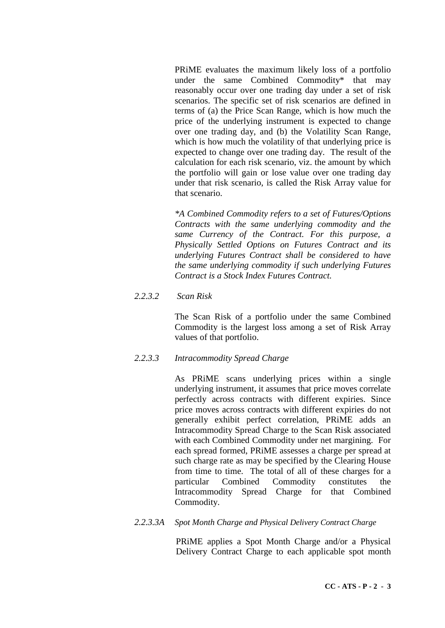PRiME evaluates the maximum likely loss of a portfolio under the same Combined Commodity\* that may reasonably occur over one trading day under a set of risk scenarios. The specific set of risk scenarios are defined in terms of (a) the Price Scan Range, which is how much the price of the underlying instrument is expected to change over one trading day, and (b) the Volatility Scan Range, which is how much the volatility of that underlying price is expected to change over one trading day. The result of the calculation for each risk scenario, viz. the amount by which the portfolio will gain or lose value over one trading day under that risk scenario, is called the Risk Array value for that scenario.

*\*A Combined Commodity refers to a set of Futures/Options Contracts with the same underlying commodity and the same Currency of the Contract. For this purpose, a Physically Settled Options on Futures Contract and its underlying Futures Contract shall be considered to have the same underlying commodity if such underlying Futures Contract is a Stock Index Futures Contract.*

## *2.2.3.2 Scan Risk*

The Scan Risk of a portfolio under the same Combined Commodity is the largest loss among a set of Risk Array values of that portfolio.

### *2.2.3.3 Intracommodity Spread Charge*

As PRiME scans underlying prices within a single underlying instrument, it assumes that price moves correlate perfectly across contracts with different expiries. Since price moves across contracts with different expiries do not generally exhibit perfect correlation, PRiME adds an Intracommodity Spread Charge to the Scan Risk associated with each Combined Commodity under net margining. For each spread formed, PRiME assesses a charge per spread at such charge rate as may be specified by the Clearing House from time to time. The total of all of these charges for a particular Combined Commodity constitutes the Intracommodity Spread Charge for that Combined Commodity.

#### *2.2.3.3A Spot Month Charge and Physical Delivery Contract Charge*

PRiME applies a Spot Month Charge and/or a Physical Delivery Contract Charge to each applicable spot month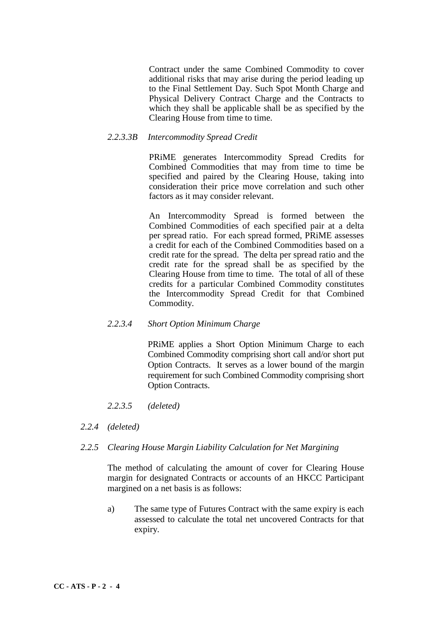Contract under the same Combined Commodity to cover additional risks that may arise during the period leading up to the Final Settlement Day. Such Spot Month Charge and Physical Delivery Contract Charge and the Contracts to which they shall be applicable shall be as specified by the Clearing House from time to time.

## *2.2.3.3B Intercommodity Spread Credit*

PRiME generates Intercommodity Spread Credits for Combined Commodities that may from time to time be specified and paired by the Clearing House, taking into consideration their price move correlation and such other factors as it may consider relevant.

An Intercommodity Spread is formed between the Combined Commodities of each specified pair at a delta per spread ratio. For each spread formed, PRiME assesses a credit for each of the Combined Commodities based on a credit rate for the spread. The delta per spread ratio and the credit rate for the spread shall be as specified by the Clearing House from time to time. The total of all of these credits for a particular Combined Commodity constitutes the Intercommodity Spread Credit for that Combined Commodity.

### *2.2.3.4 Short Option Minimum Charge*

PRiME applies a Short Option Minimum Charge to each Combined Commodity comprising short call and/or short put Option Contracts. It serves as a lower bound of the margin requirement for such Combined Commodity comprising short Option Contracts.

- *2.2.3.5 (deleted)*
- *2.2.4 (deleted)*
- *2.2.5 Clearing House Margin Liability Calculation for Net Margining*

The method of calculating the amount of cover for Clearing House margin for designated Contracts or accounts of an HKCC Participant margined on a net basis is as follows:

a) The same type of Futures Contract with the same expiry is each assessed to calculate the total net uncovered Contracts for that expiry.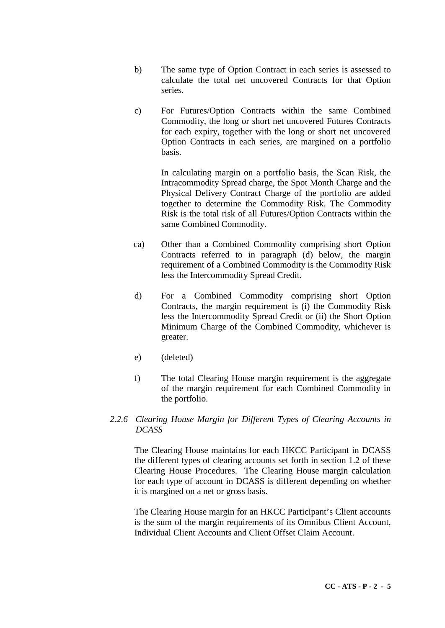- b) The same type of Option Contract in each series is assessed to calculate the total net uncovered Contracts for that Option series.
- c) For Futures/Option Contracts within the same Combined Commodity, the long or short net uncovered Futures Contracts for each expiry, together with the long or short net uncovered Option Contracts in each series, are margined on a portfolio basis.

In calculating margin on a portfolio basis, the Scan Risk, the Intracommodity Spread charge, the Spot Month Charge and the Physical Delivery Contract Charge of the portfolio are added together to determine the Commodity Risk. The Commodity Risk is the total risk of all Futures/Option Contracts within the same Combined Commodity.

- ca) Other than a Combined Commodity comprising short Option Contracts referred to in paragraph (d) below, the margin requirement of a Combined Commodity is the Commodity Risk less the Intercommodity Spread Credit.
- d) For a Combined Commodity comprising short Option Contracts, the margin requirement is (i) the Commodity Risk less the Intercommodity Spread Credit or (ii) the Short Option Minimum Charge of the Combined Commodity, whichever is greater.
- e) (deleted)
- f) The total Clearing House margin requirement is the aggregate of the margin requirement for each Combined Commodity in the portfolio.
- *2.2.6 Clearing House Margin for Different Types of Clearing Accounts in DCASS*

The Clearing House maintains for each HKCC Participant in DCASS the different types of clearing accounts set forth in section 1.2 of these Clearing House Procedures. The Clearing House margin calculation for each type of account in DCASS is different depending on whether it is margined on a net or gross basis.

The Clearing House margin for an HKCC Participant's Client accounts is the sum of the margin requirements of its Omnibus Client Account, Individual Client Accounts and Client Offset Claim Account.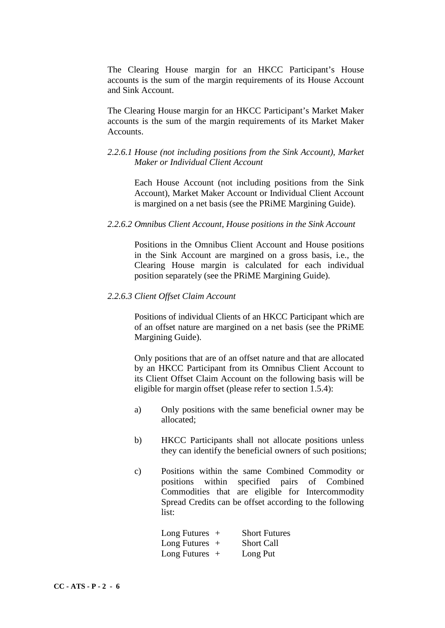The Clearing House margin for an HKCC Participant's House accounts is the sum of the margin requirements of its House Account and Sink Account.

The Clearing House margin for an HKCC Participant's Market Maker accounts is the sum of the margin requirements of its Market Maker Accounts.

# *2.2.6.1 House (not including positions from the Sink Account), Market Maker or Individual Client Account*

Each House Account (not including positions from the Sink Account), Market Maker Account or Individual Client Account is margined on a net basis (see the PRiME Margining Guide).

#### *2.2.6.2 Omnibus Client Account, House positions in the Sink Account*

Positions in the Omnibus Client Account and House positions in the Sink Account are margined on a gross basis, i.e., the Clearing House margin is calculated for each individual position separately (see the PRiME Margining Guide).

#### *2.2.6.3 Client Offset Claim Account*

Positions of individual Clients of an HKCC Participant which are of an offset nature are margined on a net basis (see the PRiME Margining Guide).

Only positions that are of an offset nature and that are allocated by an HKCC Participant from its Omnibus Client Account to its Client Offset Claim Account on the following basis will be eligible for margin offset (please refer to section 1.5.4):

- a) Only positions with the same beneficial owner may be allocated;
- b) HKCC Participants shall not allocate positions unless they can identify the beneficial owners of such positions;
- c) Positions within the same Combined Commodity or positions within specified pairs of Combined Commodities that are eligible for Intercommodity Spread Credits can be offset according to the following list:

Long Futures + Short Futures Long Futures + Short Call Long Futures + Long Put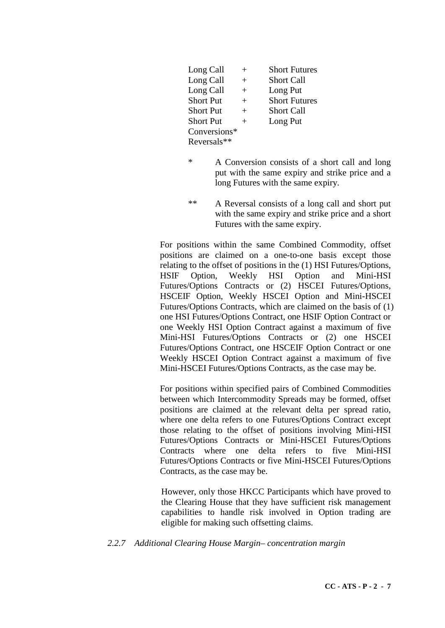| Long Call        | $\overline{+}$ | <b>Short Futures</b> |
|------------------|----------------|----------------------|
| Long Call        | $^{+}$         | <b>Short Call</b>    |
| Long Call        | $^{+}$         | Long Put             |
| <b>Short Put</b> | $^{+}$         | <b>Short Futures</b> |
| <b>Short Put</b> | $^{+}$         | <b>Short Call</b>    |
| <b>Short Put</b> | $^{+}$         | Long Put             |
| Conversions*     |                |                      |
| Reversals**      |                |                      |

- \* A Conversion consists of a short call and long put with the same expiry and strike price and a long Futures with the same expiry.
- \*\* A Reversal consists of a long call and short put with the same expiry and strike price and a short Futures with the same expiry.

For positions within the same Combined Commodity, offset positions are claimed on a one-to-one basis except those relating to the offset of positions in the (1) HSI Futures/Options, HSIF Option, Weekly HSI Option and Mini-HSI Futures/Options Contracts or (2) HSCEI Futures/Options, HSCEIF Option, Weekly HSCEI Option and Mini-HSCEI Futures/Options Contracts, which are claimed on the basis of (1) one HSI Futures/Options Contract, one HSIF Option Contract or one Weekly HSI Option Contract against a maximum of five Mini-HSI Futures/Options Contracts or (2) one HSCEI Futures/Options Contract, one HSCEIF Option Contract or one Weekly HSCEI Option Contract against a maximum of five Mini-HSCEI Futures/Options Contracts, as the case may be.

For positions within specified pairs of Combined Commodities between which Intercommodity Spreads may be formed, offset positions are claimed at the relevant delta per spread ratio, where one delta refers to one Futures/Options Contract except those relating to the offset of positions involving Mini-HSI Futures/Options Contracts or Mini-HSCEI Futures/Options Contracts where one delta refers to five Mini-HSI Futures/Options Contracts or five Mini-HSCEI Futures/Options Contracts, as the case may be.

However, only those HKCC Participants which have proved to the Clearing House that they have sufficient risk management capabilities to handle risk involved in Option trading are eligible for making such offsetting claims.

*2.2.7 Additional Clearing House Margin– concentration margin*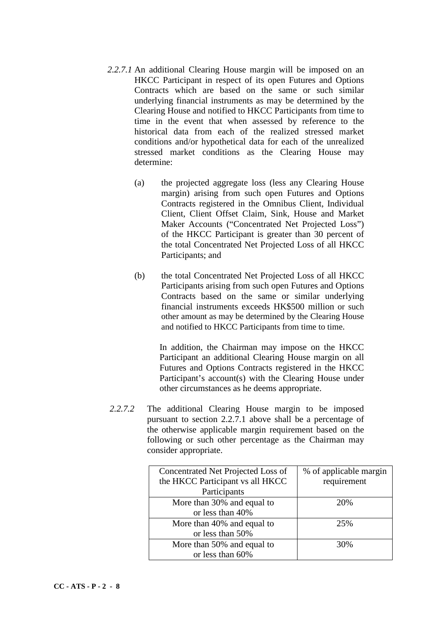- *2.2.7.1* An additional Clearing House margin will be imposed on an HKCC Participant in respect of its open Futures and Options Contracts which are based on the same or such similar underlying financial instruments as may be determined by the Clearing House and notified to HKCC Participants from time to time in the event that when assessed by reference to the historical data from each of the realized stressed market conditions and/or hypothetical data for each of the unrealized stressed market conditions as the Clearing House may determine:
	- (a) the projected aggregate loss (less any Clearing House margin) arising from such open Futures and Options Contracts registered in the Omnibus Client, Individual Client, Client Offset Claim, Sink, House and Market Maker Accounts ("Concentrated Net Projected Loss") of the HKCC Participant is greater than 30 percent of the total Concentrated Net Projected Loss of all HKCC Participants; and
	- (b) the total Concentrated Net Projected Loss of all HKCC Participants arising from such open Futures and Options Contracts based on the same or similar underlying financial instruments exceeds HK\$500 million or such other amount as may be determined by the Clearing House and notified to HKCC Participants from time to time.

In addition, the Chairman may impose on the HKCC Participant an additional Clearing House margin on all Futures and Options Contracts registered in the HKCC Participant's account(s) with the Clearing House under other circumstances as he deems appropriate.

*2.2.7.2* The additional Clearing House margin to be imposed pursuant to section 2.2.7.1 above shall be a percentage of the otherwise applicable margin requirement based on the following or such other percentage as the Chairman may consider appropriate.

| Concentrated Net Projected Loss of | % of applicable margin |
|------------------------------------|------------------------|
| the HKCC Participant vs all HKCC   | requirement            |
| Participants                       |                        |
| More than 30% and equal to         | 20%                    |
| or less than 40%                   |                        |
| More than 40% and equal to         | 25%                    |
| or less than 50%                   |                        |
| More than 50% and equal to         | 30%                    |
| or less than 60%                   |                        |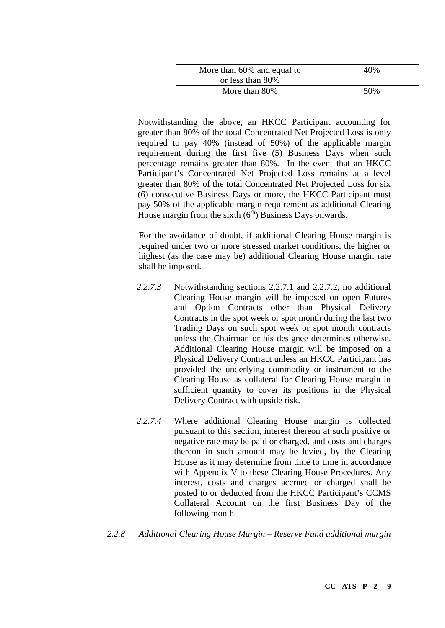| More than 60% and equal to | 40% |
|----------------------------|-----|
| or less than 80%           |     |
| More than 80%              | 50% |

Notwithstanding the above, an HKCC Participant accounting for greater than 80% of the total Concentrated Net Projected Loss is only required to pay 40% (instead of 50%) of the applicable margin requirement during the first five (5) Business Days when such percentage remains greater than 80%. In the event that an HKCC Participant's Concentrated Net Projected Loss remains at a level greater than 80% of the total Concentrated Net Projected Loss for six (6) consecutive Business Days or more, the HKCC Participant must pay 50% of the applicable margin requirement as additional Clearing House margin from the sixth  $(6<sup>th</sup>)$  Business Days onwards.

For the avoidance of doubt, if additional Clearing House margin is required under two or more stressed market conditions, the higher or highest (as the case may be) additional Clearing House margin rate shall be imposed.

- *2.2.7.3* Notwithstanding sections 2.2.7.1 and 2.2.7.2, no additional Clearing House margin will be imposed on open Futures and Option Contracts other than Physical Delivery Contracts in the spot week or spot month during the last two Trading Days on such spot week or spot month contracts unless the Chairman or his designee determines otherwise. Additional Clearing House margin will be imposed on a Physical Delivery Contract unless an HKCC Participant has provided the underlying commodity or instrument to the Clearing House as collateral for Clearing House margin in sufficient quantity to cover its positions in the Physical Delivery Contract with upside risk.
- *2.2.7.4* Where additional Clearing House margin is collected pursuant to this section, interest thereon at such positive or negative rate may be paid or charged, and costs and charges thereon in such amount may be levied, by the Clearing House as it may determine from time to time in accordance with Appendix V to these Clearing House Procedures. Any interest, costs and charges accrued or charged shall be posted to or deducted from the HKCC Participant's CCMS Collateral Account on the first Business Day of the following month.
- *2.2.8 Additional Clearing House Margin – Reserve Fund additional margin*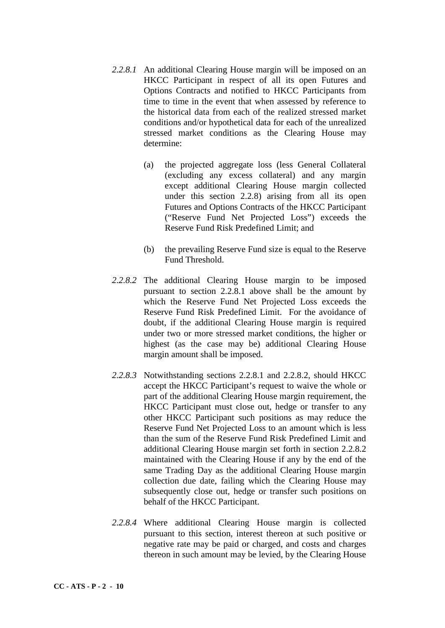- *2.2.8.1* An additional Clearing House margin will be imposed on an HKCC Participant in respect of all its open Futures and Options Contracts and notified to HKCC Participants from time to time in the event that when assessed by reference to the historical data from each of the realized stressed market conditions and/or hypothetical data for each of the unrealized stressed market conditions as the Clearing House may determine:
	- (a) the projected aggregate loss (less General Collateral (excluding any excess collateral) and any margin except additional Clearing House margin collected under this section 2.2.8) arising from all its open Futures and Options Contracts of the HKCC Participant ("Reserve Fund Net Projected Loss") exceeds the Reserve Fund Risk Predefined Limit; and
	- (b) the prevailing Reserve Fund size is equal to the Reserve Fund Threshold.
- *2.2.8.2* The additional Clearing House margin to be imposed pursuant to section 2.2.8.1 above shall be the amount by which the Reserve Fund Net Projected Loss exceeds the Reserve Fund Risk Predefined Limit. For the avoidance of doubt, if the additional Clearing House margin is required under two or more stressed market conditions, the higher or highest (as the case may be) additional Clearing House margin amount shall be imposed.
- *2.2.8.3* Notwithstanding sections 2.2.8.1 and 2.2.8.2, should HKCC accept the HKCC Participant's request to waive the whole or part of the additional Clearing House margin requirement, the HKCC Participant must close out, hedge or transfer to any other HKCC Participant such positions as may reduce the Reserve Fund Net Projected Loss to an amount which is less than the sum of the Reserve Fund Risk Predefined Limit and additional Clearing House margin set forth in section 2.2.8.2 maintained with the Clearing House if any by the end of the same Trading Day as the additional Clearing House margin collection due date, failing which the Clearing House may subsequently close out, hedge or transfer such positions on behalf of the HKCC Participant.
- *2.2.8.4* Where additional Clearing House margin is collected pursuant to this section, interest thereon at such positive or negative rate may be paid or charged, and costs and charges thereon in such amount may be levied, by the Clearing House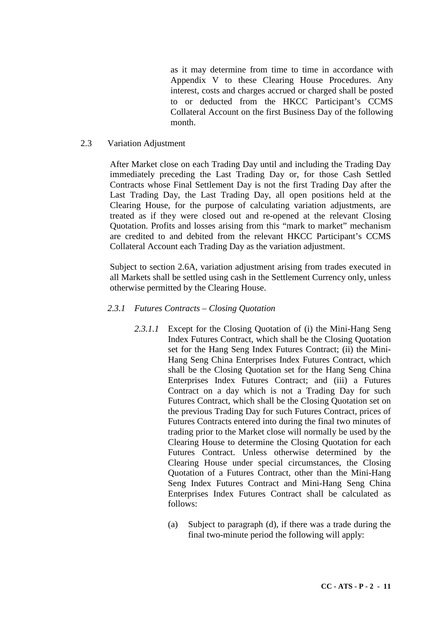as it may determine from time to time in accordance with Appendix V to these Clearing House Procedures. Any interest, costs and charges accrued or charged shall be posted to or deducted from the HKCC Participant's CCMS Collateral Account on the first Business Day of the following month.

### 2.3 Variation Adjustment

After Market close on each Trading Day until and including the Trading Day immediately preceding the Last Trading Day or, for those Cash Settled Contracts whose Final Settlement Day is not the first Trading Day after the Last Trading Day, the Last Trading Day, all open positions held at the Clearing House, for the purpose of calculating variation adjustments, are treated as if they were closed out and re-opened at the relevant Closing Quotation. Profits and losses arising from this "mark to market" mechanism are credited to and debited from the relevant HKCC Participant's CCMS Collateral Account each Trading Day as the variation adjustment.

Subject to section 2.6A, variation adjustment arising from trades executed in all Markets shall be settled using cash in the Settlement Currency only, unless otherwise permitted by the Clearing House.

### *2.3.1 Futures Contracts – Closing Quotation*

- *2.3.1.1* Except for the Closing Quotation of (i) the Mini-Hang Seng Index Futures Contract, which shall be the Closing Quotation set for the Hang Seng Index Futures Contract; (ii) the Mini-Hang Seng China Enterprises Index Futures Contract, which shall be the Closing Quotation set for the Hang Seng China Enterprises Index Futures Contract; and (iii) a Futures Contract on a day which is not a Trading Day for such Futures Contract, which shall be the Closing Quotation set on the previous Trading Day for such Futures Contract, prices of Futures Contracts entered into during the final two minutes of trading prior to the Market close will normally be used by the Clearing House to determine the Closing Quotation for each Futures Contract. Unless otherwise determined by the Clearing House under special circumstances, the Closing Quotation of a Futures Contract, other than the Mini-Hang Seng Index Futures Contract and Mini-Hang Seng China Enterprises Index Futures Contract shall be calculated as follows:
	- (a) Subject to paragraph (d), if there was a trade during the final two-minute period the following will apply: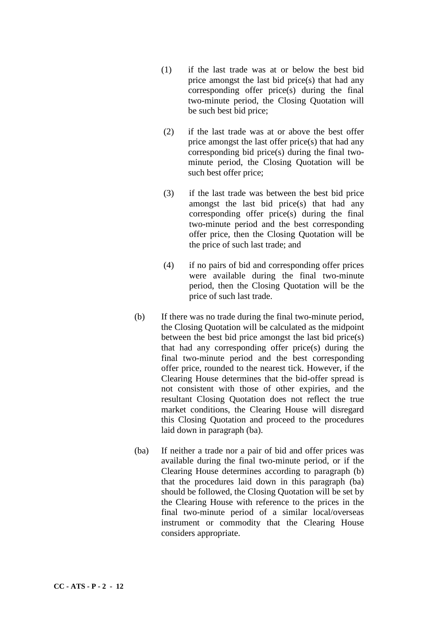- (1) if the last trade was at or below the best bid price amongst the last bid price(s) that had any corresponding offer price(s) during the final two-minute period, the Closing Quotation will be such best bid price;
- (2) if the last trade was at or above the best offer price amongst the last offer price(s) that had any corresponding bid price(s) during the final twominute period, the Closing Quotation will be such best offer price;
- (3) if the last trade was between the best bid price amongst the last bid price(s) that had any corresponding offer price(s) during the final two-minute period and the best corresponding offer price, then the Closing Quotation will be the price of such last trade; and
- (4) if no pairs of bid and corresponding offer prices were available during the final two-minute period, then the Closing Quotation will be the price of such last trade.
- (b) If there was no trade during the final two-minute period, the Closing Quotation will be calculated as the midpoint between the best bid price amongst the last bid price(s) that had any corresponding offer price(s) during the final two-minute period and the best corresponding offer price, rounded to the nearest tick. However, if the Clearing House determines that the bid-offer spread is not consistent with those of other expiries, and the resultant Closing Quotation does not reflect the true market conditions, the Clearing House will disregard this Closing Quotation and proceed to the procedures laid down in paragraph (ba).
- (ba) If neither a trade nor a pair of bid and offer prices was available during the final two-minute period, or if the Clearing House determines according to paragraph (b) that the procedures laid down in this paragraph (ba) should be followed, the Closing Quotation will be set by the Clearing House with reference to the prices in the final two-minute period of a similar local/overseas instrument or commodity that the Clearing House considers appropriate.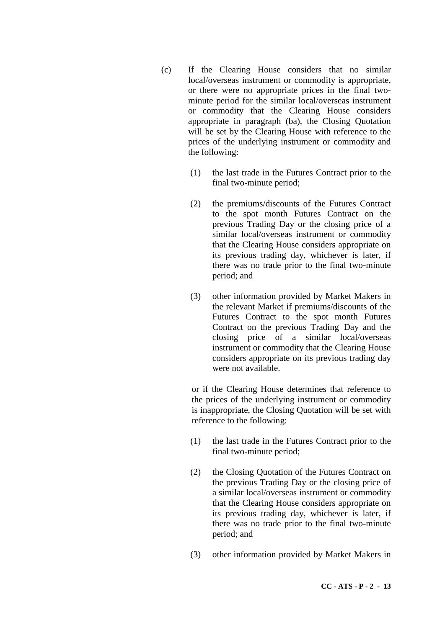- (c) If the Clearing House considers that no similar local/overseas instrument or commodity is appropriate, or there were no appropriate prices in the final twominute period for the similar local/overseas instrument or commodity that the Clearing House considers appropriate in paragraph (ba), the Closing Quotation will be set by the Clearing House with reference to the prices of the underlying instrument or commodity and the following:
	- (1) the last trade in the Futures Contract prior to the final two-minute period;
	- (2) the premiums/discounts of the Futures Contract to the spot month Futures Contract on the previous Trading Day or the closing price of a similar local/overseas instrument or commodity that the Clearing House considers appropriate on its previous trading day, whichever is later, if there was no trade prior to the final two-minute period; and
	- (3) other information provided by Market Makers in the relevant Market if premiums/discounts of the Futures Contract to the spot month Futures Contract on the previous Trading Day and the closing price of a similar local/overseas instrument or commodity that the Clearing House considers appropriate on its previous trading day were not available.

or if the Clearing House determines that reference to the prices of the underlying instrument or commodity is inappropriate, the Closing Quotation will be set with reference to the following:

- (1) the last trade in the Futures Contract prior to the final two-minute period;
- (2) the Closing Quotation of the Futures Contract on the previous Trading Day or the closing price of a similar local/overseas instrument or commodity that the Clearing House considers appropriate on its previous trading day, whichever is later, if there was no trade prior to the final two-minute period; and
- (3) other information provided by Market Makers in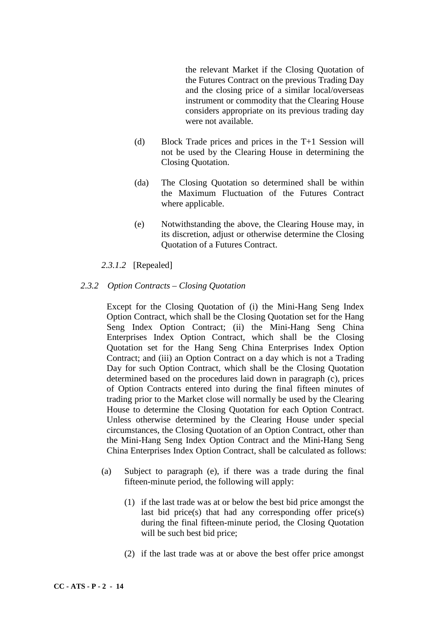the relevant Market if the Closing Quotation of the Futures Contract on the previous Trading Day and the closing price of a similar local/overseas instrument or commodity that the Clearing House considers appropriate on its previous trading day were not available.

- (d) Block Trade prices and prices in the T+1 Session will not be used by the Clearing House in determining the Closing Quotation.
- (da) The Closing Quotation so determined shall be within the Maximum Fluctuation of the Futures Contract where applicable.
- (e) Notwithstanding the above, the Clearing House may, in its discretion, adjust or otherwise determine the Closing Quotation of a Futures Contract.

# *2.3.1.2* [Repealed]

### *2.3.2 Option Contracts – Closing Quotation*

Except for the Closing Quotation of (i) the Mini-Hang Seng Index Option Contract, which shall be the Closing Quotation set for the Hang Seng Index Option Contract; (ii) the Mini-Hang Seng China Enterprises Index Option Contract, which shall be the Closing Quotation set for the Hang Seng China Enterprises Index Option Contract; and (iii) an Option Contract on a day which is not a Trading Day for such Option Contract, which shall be the Closing Quotation determined based on the procedures laid down in paragraph (c), prices of Option Contracts entered into during the final fifteen minutes of trading prior to the Market close will normally be used by the Clearing House to determine the Closing Quotation for each Option Contract. Unless otherwise determined by the Clearing House under special circumstances, the Closing Quotation of an Option Contract, other than the Mini-Hang Seng Index Option Contract and the Mini-Hang Seng China Enterprises Index Option Contract, shall be calculated as follows:

- (a) Subject to paragraph (e), if there was a trade during the final fifteen-minute period, the following will apply:
	- (1) if the last trade was at or below the best bid price amongst the last bid price(s) that had any corresponding offer price(s) during the final fifteen-minute period, the Closing Quotation will be such best bid price;
	- (2) if the last trade was at or above the best offer price amongst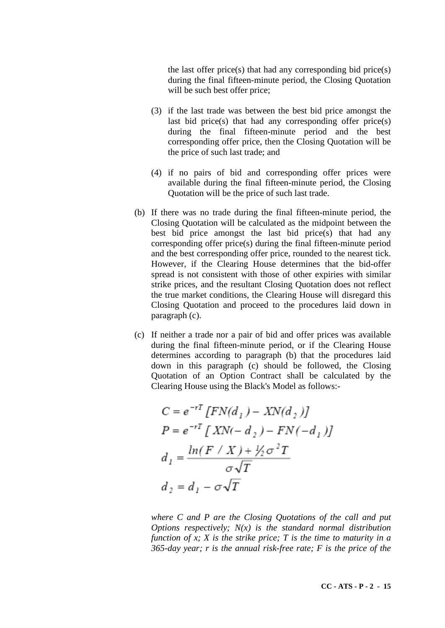the last offer price(s) that had any corresponding bid price(s) during the final fifteen-minute period, the Closing Quotation will be such best offer price;

- (3) if the last trade was between the best bid price amongst the last bid price(s) that had any corresponding offer price(s) during the final fifteen-minute period and the best corresponding offer price, then the Closing Quotation will be the price of such last trade; and
- (4) if no pairs of bid and corresponding offer prices were available during the final fifteen-minute period, the Closing Quotation will be the price of such last trade.
- (b) If there was no trade during the final fifteen-minute period, the Closing Quotation will be calculated as the midpoint between the best bid price amongst the last bid price(s) that had any corresponding offer price(s) during the final fifteen-minute period and the best corresponding offer price, rounded to the nearest tick. However, if the Clearing House determines that the bid-offer spread is not consistent with those of other expiries with similar strike prices, and the resultant Closing Quotation does not reflect the true market conditions, the Clearing House will disregard this Closing Quotation and proceed to the procedures laid down in paragraph (c).
- (c) If neither a trade nor a pair of bid and offer prices was available during the final fifteen-minute period, or if the Clearing House determines according to paragraph (b) that the procedures laid down in this paragraph (c) should be followed, the Closing Quotation of an Option Contract shall be calculated by the Clearing House using the Black's Model as follows:-

$$
C = e^{-rT} [FN(d_1) - NN(d_2)]
$$
  
\n
$$
P = e^{-rT} [XN(-d_2) - FN(-d_1)]
$$
  
\n
$$
d_1 = \frac{\ln(F / X) + \frac{1}{2}\sigma^2 T}{\sigma\sqrt{T}}
$$
  
\n
$$
d_2 = d_1 - \sigma\sqrt{T}
$$

*where C and P are the Closing Quotations of the call and put Options respectively; N(x) is the standard normal distribution function of x; X is the strike price; T is the time to maturity in a 365-day year; r is the annual risk-free rate; F is the price of the*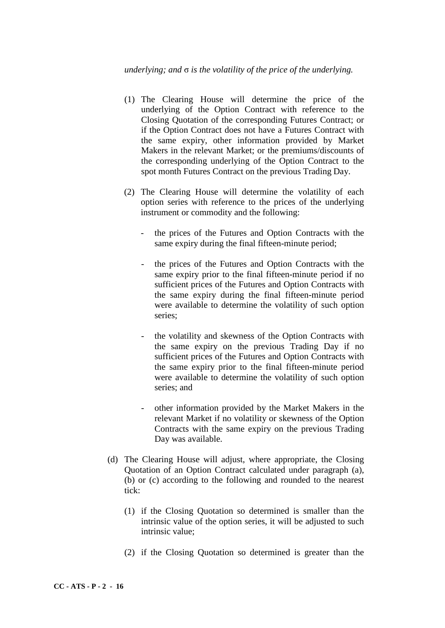### *underlying; and* σ *is the volatility of the price of the underlying.*

- (1) The Clearing House will determine the price of the underlying of the Option Contract with reference to the Closing Quotation of the corresponding Futures Contract; or if the Option Contract does not have a Futures Contract with the same expiry, other information provided by Market Makers in the relevant Market; or the premiums/discounts of the corresponding underlying of the Option Contract to the spot month Futures Contract on the previous Trading Day.
- (2) The Clearing House will determine the volatility of each option series with reference to the prices of the underlying instrument or commodity and the following:
	- the prices of the Futures and Option Contracts with the same expiry during the final fifteen-minute period;
	- the prices of the Futures and Option Contracts with the same expiry prior to the final fifteen-minute period if no sufficient prices of the Futures and Option Contracts with the same expiry during the final fifteen-minute period were available to determine the volatility of such option series;
	- the volatility and skewness of the Option Contracts with the same expiry on the previous Trading Day if no sufficient prices of the Futures and Option Contracts with the same expiry prior to the final fifteen-minute period were available to determine the volatility of such option series; and
	- other information provided by the Market Makers in the relevant Market if no volatility or skewness of the Option Contracts with the same expiry on the previous Trading Day was available.
- (d) The Clearing House will adjust, where appropriate, the Closing Quotation of an Option Contract calculated under paragraph (a), (b) or (c) according to the following and rounded to the nearest tick:
	- (1) if the Closing Quotation so determined is smaller than the intrinsic value of the option series, it will be adjusted to such intrinsic value;
	- (2) if the Closing Quotation so determined is greater than the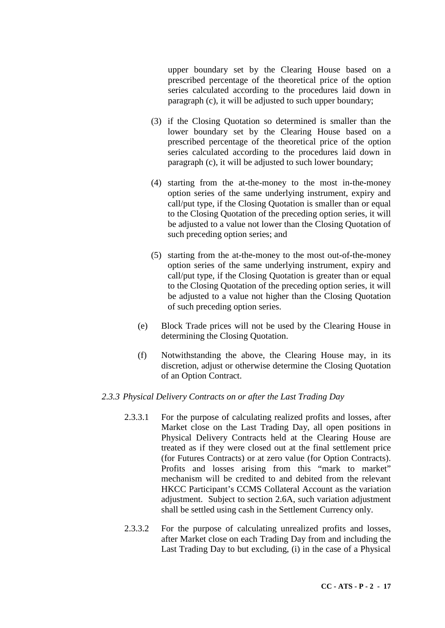upper boundary set by the Clearing House based on a prescribed percentage of the theoretical price of the option series calculated according to the procedures laid down in paragraph (c), it will be adjusted to such upper boundary;

- (3) if the Closing Quotation so determined is smaller than the lower boundary set by the Clearing House based on a prescribed percentage of the theoretical price of the option series calculated according to the procedures laid down in paragraph (c), it will be adjusted to such lower boundary;
- (4) starting from the at-the-money to the most in-the-money option series of the same underlying instrument, expiry and call/put type, if the Closing Quotation is smaller than or equal to the Closing Quotation of the preceding option series, it will be adjusted to a value not lower than the Closing Quotation of such preceding option series; and
- (5) starting from the at-the-money to the most out-of-the-money option series of the same underlying instrument, expiry and call/put type, if the Closing Quotation is greater than or equal to the Closing Quotation of the preceding option series, it will be adjusted to a value not higher than the Closing Quotation of such preceding option series.
- (e) Block Trade prices will not be used by the Clearing House in determining the Closing Quotation.
- (f) Notwithstanding the above, the Clearing House may, in its discretion, adjust or otherwise determine the Closing Quotation of an Option Contract.

## *2.3.3 Physical Delivery Contracts on or after the Last Trading Day*

- 2.3.3.1 For the purpose of calculating realized profits and losses, after Market close on the Last Trading Day, all open positions in Physical Delivery Contracts held at the Clearing House are treated as if they were closed out at the final settlement price (for Futures Contracts) or at zero value (for Option Contracts). Profits and losses arising from this "mark to market" mechanism will be credited to and debited from the relevant HKCC Participant's CCMS Collateral Account as the variation adjustment. Subject to section 2.6A, such variation adjustment shall be settled using cash in the Settlement Currency only.
- 2.3.3.2 For the purpose of calculating unrealized profits and losses, after Market close on each Trading Day from and including the Last Trading Day to but excluding, (i) in the case of a Physical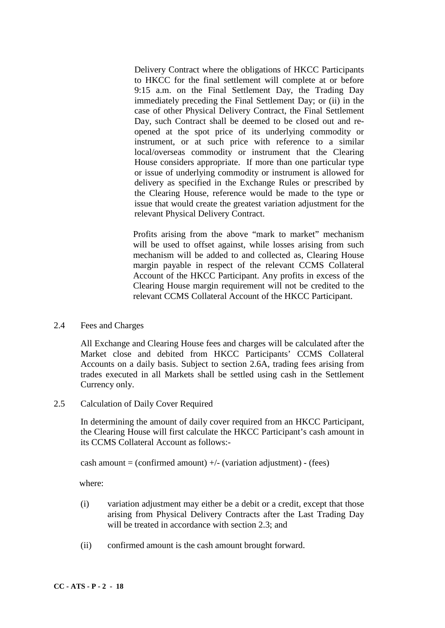Delivery Contract where the obligations of HKCC Participants to HKCC for the final settlement will complete at or before 9:15 a.m. on the Final Settlement Day, the Trading Day immediately preceding the Final Settlement Day; or (ii) in the case of other Physical Delivery Contract, the Final Settlement Day, such Contract shall be deemed to be closed out and reopened at the spot price of its underlying commodity or instrument, or at such price with reference to a similar local/overseas commodity or instrument that the Clearing House considers appropriate. If more than one particular type or issue of underlying commodity or instrument is allowed for delivery as specified in the Exchange Rules or prescribed by the Clearing House, reference would be made to the type or issue that would create the greatest variation adjustment for the relevant Physical Delivery Contract.

Profits arising from the above "mark to market" mechanism will be used to offset against, while losses arising from such mechanism will be added to and collected as, Clearing House margin payable in respect of the relevant CCMS Collateral Account of the HKCC Participant. Any profits in excess of the Clearing House margin requirement will not be credited to the relevant CCMS Collateral Account of the HKCC Participant.

2.4 Fees and Charges

All Exchange and Clearing House fees and charges will be calculated after the Market close and debited from HKCC Participants' CCMS Collateral Accounts on a daily basis. Subject to section 2.6A, trading fees arising from trades executed in all Markets shall be settled using cash in the Settlement Currency only.

2.5 Calculation of Daily Cover Required

In determining the amount of daily cover required from an HKCC Participant, the Clearing House will first calculate the HKCC Participant's cash amount in its CCMS Collateral Account as follows:-

cash amount  $=$  (confirmed amount)  $+/-$  (variation adjustment) - (fees)

where:

- (i) variation adjustment may either be a debit or a credit, except that those arising from Physical Delivery Contracts after the Last Trading Day will be treated in accordance with section 2.3; and
- (ii) confirmed amount is the cash amount brought forward.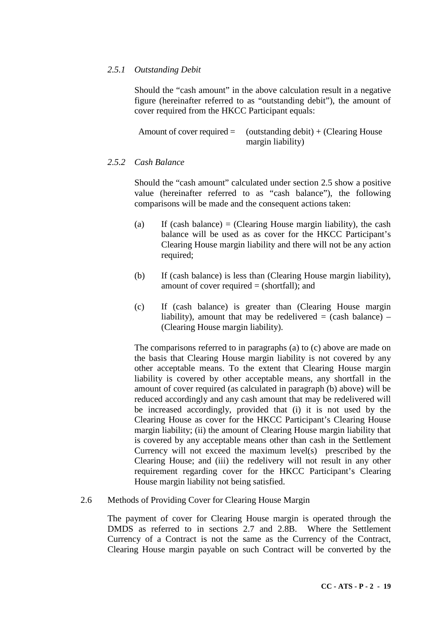# *2.5.1 Outstanding Debit*

Should the "cash amount" in the above calculation result in a negative figure (hereinafter referred to as "outstanding debit"), the amount of cover required from the HKCC Participant equals:

Amount of cover required  $=$  (outstanding debit) + (Clearing House margin liability)

# *2.5.2 Cash Balance*

Should the "cash amount" calculated under section 2.5 show a positive value (hereinafter referred to as "cash balance"), the following comparisons will be made and the consequent actions taken:

- (a) If (cash balance) = (Clearing House margin liability), the cash balance will be used as as cover for the HKCC Participant's Clearing House margin liability and there will not be any action required;
- (b) If (cash balance) is less than (Clearing House margin liability), amount of cover required  $=$  (shortfall); and
- (c) If (cash balance) is greater than (Clearing House margin liability), amount that may be redelivered  $=$  (cash balance)  $-$ (Clearing House margin liability).

The comparisons referred to in paragraphs (a) to (c) above are made on the basis that Clearing House margin liability is not covered by any other acceptable means. To the extent that Clearing House margin liability is covered by other acceptable means, any shortfall in the amount of cover required (as calculated in paragraph (b) above) will be reduced accordingly and any cash amount that may be redelivered will be increased accordingly, provided that (i) it is not used by the Clearing House as cover for the HKCC Participant's Clearing House margin liability; (ii) the amount of Clearing House margin liability that is covered by any acceptable means other than cash in the Settlement Currency will not exceed the maximum level(s) prescribed by the Clearing House; and (iii) the redelivery will not result in any other requirement regarding cover for the HKCC Participant's Clearing House margin liability not being satisfied.

2.6 Methods of Providing Cover for Clearing House Margin

The payment of cover for Clearing House margin is operated through the DMDS as referred to in sections 2.7 and 2.8B. Where the Settlement Currency of a Contract is not the same as the Currency of the Contract, Clearing House margin payable on such Contract will be converted by the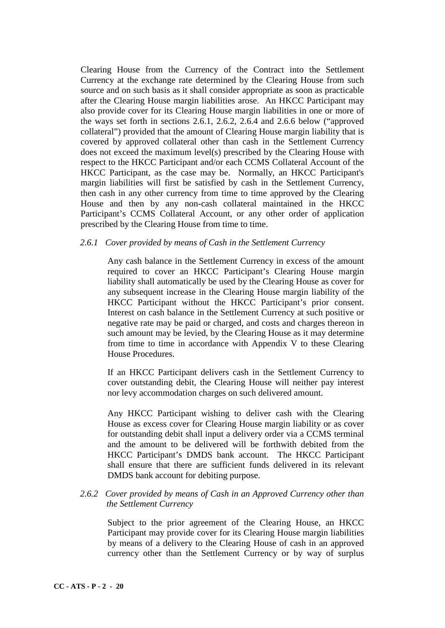Clearing House from the Currency of the Contract into the Settlement Currency at the exchange rate determined by the Clearing House from such source and on such basis as it shall consider appropriate as soon as practicable after the Clearing House margin liabilities arose. An HKCC Participant may also provide cover for its Clearing House margin liabilities in one or more of the ways set forth in sections 2.6.1, 2.6.2, 2.6.4 and 2.6.6 below ("approved collateral") provided that the amount of Clearing House margin liability that is covered by approved collateral other than cash in the Settlement Currency does not exceed the maximum level(s) prescribed by the Clearing House with respect to the HKCC Participant and/or each CCMS Collateral Account of the HKCC Participant, as the case may be. Normally, an HKCC Participant's margin liabilities will first be satisfied by cash in the Settlement Currency, then cash in any other currency from time to time approved by the Clearing House and then by any non-cash collateral maintained in the HKCC Participant's CCMS Collateral Account, or any other order of application prescribed by the Clearing House from time to time.

#### *2.6.1 Cover provided by means of Cash in the Settlement Currency*

Any cash balance in the Settlement Currency in excess of the amount required to cover an HKCC Participant's Clearing House margin liability shall automatically be used by the Clearing House as cover for any subsequent increase in the Clearing House margin liability of the HKCC Participant without the HKCC Participant's prior consent. Interest on cash balance in the Settlement Currency at such positive or negative rate may be paid or charged, and costs and charges thereon in such amount may be levied, by the Clearing House as it may determine from time to time in accordance with Appendix V to these Clearing House Procedures.

If an HKCC Participant delivers cash in the Settlement Currency to cover outstanding debit, the Clearing House will neither pay interest nor levy accommodation charges on such delivered amount.

Any HKCC Participant wishing to deliver cash with the Clearing House as excess cover for Clearing House margin liability or as cover for outstanding debit shall input a delivery order via a CCMS terminal and the amount to be delivered will be forthwith debited from the HKCC Participant's DMDS bank account. The HKCC Participant shall ensure that there are sufficient funds delivered in its relevant DMDS bank account for debiting purpose.

## *2.6.2 Cover provided by means of Cash in an Approved Currency other than the Settlement Currency*

Subject to the prior agreement of the Clearing House, an HKCC Participant may provide cover for its Clearing House margin liabilities by means of a delivery to the Clearing House of cash in an approved currency other than the Settlement Currency or by way of surplus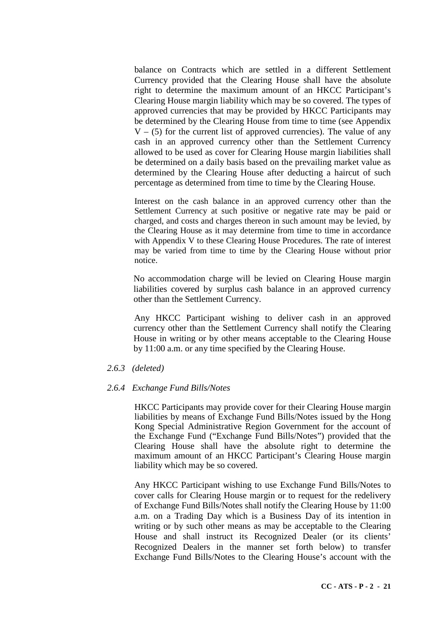balance on Contracts which are settled in a different Settlement Currency provided that the Clearing House shall have the absolute right to determine the maximum amount of an HKCC Participant's Clearing House margin liability which may be so covered. The types of approved currencies that may be provided by HKCC Participants may be determined by the Clearing House from time to time (see Appendix  $V - (5)$  for the current list of approved currencies). The value of any cash in an approved currency other than the Settlement Currency allowed to be used as cover for Clearing House margin liabilities shall be determined on a daily basis based on the prevailing market value as determined by the Clearing House after deducting a haircut of such percentage as determined from time to time by the Clearing House.

Interest on the cash balance in an approved currency other than the Settlement Currency at such positive or negative rate may be paid or charged, and costs and charges thereon in such amount may be levied, by the Clearing House as it may determine from time to time in accordance with Appendix V to these Clearing House Procedures. The rate of interest may be varied from time to time by the Clearing House without prior notice.

No accommodation charge will be levied on Clearing House margin liabilities covered by surplus cash balance in an approved currency other than the Settlement Currency.

Any HKCC Participant wishing to deliver cash in an approved currency other than the Settlement Currency shall notify the Clearing House in writing or by other means acceptable to the Clearing House by 11:00 a.m. or any time specified by the Clearing House.

#### *2.6.3 (deleted)*

## *2.6.4 Exchange Fund Bills/Notes*

HKCC Participants may provide cover for their Clearing House margin liabilities by means of Exchange Fund Bills/Notes issued by the Hong Kong Special Administrative Region Government for the account of the Exchange Fund ("Exchange Fund Bills/Notes") provided that the Clearing House shall have the absolute right to determine the maximum amount of an HKCC Participant's Clearing House margin liability which may be so covered.

Any HKCC Participant wishing to use Exchange Fund Bills/Notes to cover calls for Clearing House margin or to request for the redelivery of Exchange Fund Bills/Notes shall notify the Clearing House by 11:00 a.m. on a Trading Day which is a Business Day of its intention in writing or by such other means as may be acceptable to the Clearing House and shall instruct its Recognized Dealer (or its clients' Recognized Dealers in the manner set forth below) to transfer Exchange Fund Bills/Notes to the Clearing House's account with the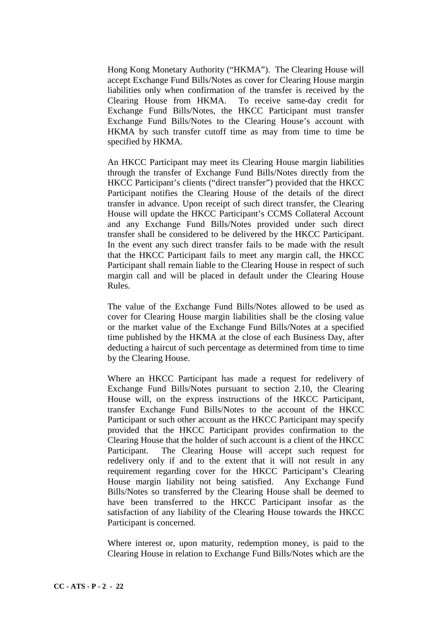Hong Kong Monetary Authority ("HKMA"). The Clearing House will accept Exchange Fund Bills/Notes as cover for Clearing House margin liabilities only when confirmation of the transfer is received by the Clearing House from HKMA. To receive same-day credit for Exchange Fund Bills/Notes, the HKCC Participant must transfer Exchange Fund Bills/Notes to the Clearing House's account with HKMA by such transfer cutoff time as may from time to time be specified by HKMA.

An HKCC Participant may meet its Clearing House margin liabilities through the transfer of Exchange Fund Bills/Notes directly from the HKCC Participant's clients ("direct transfer") provided that the HKCC Participant notifies the Clearing House of the details of the direct transfer in advance. Upon receipt of such direct transfer, the Clearing House will update the HKCC Participant's CCMS Collateral Account and any Exchange Fund Bills/Notes provided under such direct transfer shall be considered to be delivered by the HKCC Participant. In the event any such direct transfer fails to be made with the result that the HKCC Participant fails to meet any margin call, the HKCC Participant shall remain liable to the Clearing House in respect of such margin call and will be placed in default under the Clearing House Rules.

The value of the Exchange Fund Bills/Notes allowed to be used as cover for Clearing House margin liabilities shall be the closing value or the market value of the Exchange Fund Bills/Notes at a specified time published by the HKMA at the close of each Business Day, after deducting a haircut of such percentage as determined from time to time by the Clearing House.

Where an HKCC Participant has made a request for redelivery of Exchange Fund Bills/Notes pursuant to section 2.10, the Clearing House will, on the express instructions of the HKCC Participant, transfer Exchange Fund Bills/Notes to the account of the HKCC Participant or such other account as the HKCC Participant may specify provided that the HKCC Participant provides confirmation to the Clearing House that the holder of such account is a client of the HKCC Participant. The Clearing House will accept such request for redelivery only if and to the extent that it will not result in any requirement regarding cover for the HKCC Participant's Clearing House margin liability not being satisfied. Any Exchange Fund Bills/Notes so transferred by the Clearing House shall be deemed to have been transferred to the HKCC Participant insofar as the satisfaction of any liability of the Clearing House towards the HKCC Participant is concerned.

Where interest or, upon maturity, redemption money, is paid to the Clearing House in relation to Exchange Fund Bills/Notes which are the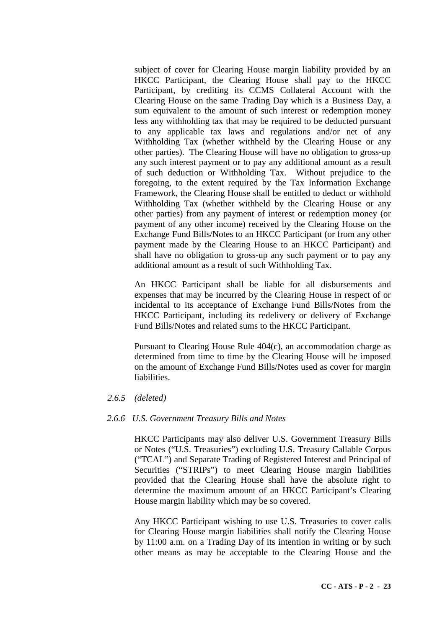subject of cover for Clearing House margin liability provided by an HKCC Participant, the Clearing House shall pay to the HKCC Participant, by crediting its CCMS Collateral Account with the Clearing House on the same Trading Day which is a Business Day, a sum equivalent to the amount of such interest or redemption money less any withholding tax that may be required to be deducted pursuant to any applicable tax laws and regulations and/or net of any Withholding Tax (whether withheld by the Clearing House or any other parties). The Clearing House will have no obligation to gross-up any such interest payment or to pay any additional amount as a result of such deduction or Withholding Tax. Without prejudice to the foregoing, to the extent required by the Tax Information Exchange Framework, the Clearing House shall be entitled to deduct or withhold Withholding Tax (whether withheld by the Clearing House or any other parties) from any payment of interest or redemption money (or payment of any other income) received by the Clearing House on the Exchange Fund Bills/Notes to an HKCC Participant (or from any other payment made by the Clearing House to an HKCC Participant) and shall have no obligation to gross-up any such payment or to pay any additional amount as a result of such Withholding Tax.

An HKCC Participant shall be liable for all disbursements and expenses that may be incurred by the Clearing House in respect of or incidental to its acceptance of Exchange Fund Bills/Notes from the HKCC Participant, including its redelivery or delivery of Exchange Fund Bills/Notes and related sums to the HKCC Participant.

Pursuant to Clearing House Rule 404(c), an accommodation charge as determined from time to time by the Clearing House will be imposed on the amount of Exchange Fund Bills/Notes used as cover for margin liabilities.

#### *2.6.5 (deleted)*

#### *2.6.6 U.S. Government Treasury Bills and Notes*

HKCC Participants may also deliver U.S. Government Treasury Bills or Notes ("U.S. Treasuries") excluding U.S. Treasury Callable Corpus ("TCAL") and Separate Trading of Registered Interest and Principal of Securities ("STRIPs") to meet Clearing House margin liabilities provided that the Clearing House shall have the absolute right to determine the maximum amount of an HKCC Participant's Clearing House margin liability which may be so covered.

Any HKCC Participant wishing to use U.S. Treasuries to cover calls for Clearing House margin liabilities shall notify the Clearing House by 11:00 a.m. on a Trading Day of its intention in writing or by such other means as may be acceptable to the Clearing House and the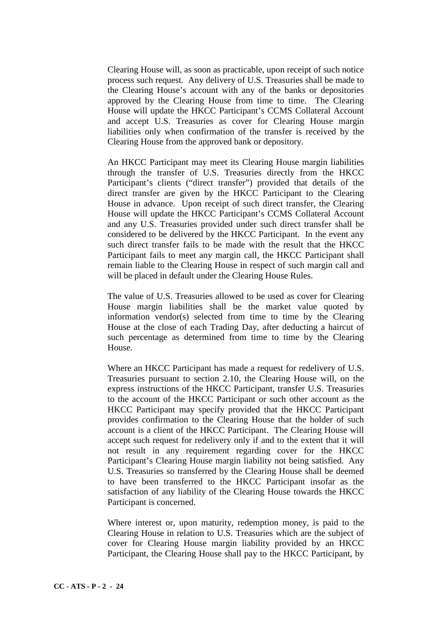Clearing House will, as soon as practicable, upon receipt of such notice process such request. Any delivery of U.S. Treasuries shall be made to the Clearing House's account with any of the banks or depositories approved by the Clearing House from time to time. The Clearing House will update the HKCC Participant's CCMS Collateral Account and accept U.S. Treasuries as cover for Clearing House margin liabilities only when confirmation of the transfer is received by the Clearing House from the approved bank or depository.

An HKCC Participant may meet its Clearing House margin liabilities through the transfer of U.S. Treasuries directly from the HKCC Participant's clients ("direct transfer") provided that details of the direct transfer are given by the HKCC Participant to the Clearing House in advance. Upon receipt of such direct transfer, the Clearing House will update the HKCC Participant's CCMS Collateral Account and any U.S. Treasuries provided under such direct transfer shall be considered to be delivered by the HKCC Participant. In the event any such direct transfer fails to be made with the result that the HKCC Participant fails to meet any margin call, the HKCC Participant shall remain liable to the Clearing House in respect of such margin call and will be placed in default under the Clearing House Rules.

The value of U.S. Treasuries allowed to be used as cover for Clearing House margin liabilities shall be the market value quoted by information vendor(s) selected from time to time by the Clearing House at the close of each Trading Day, after deducting a haircut of such percentage as determined from time to time by the Clearing House.

Where an HKCC Participant has made a request for redelivery of U.S. Treasuries pursuant to section 2.10, the Clearing House will, on the express instructions of the HKCC Participant, transfer U.S. Treasuries to the account of the HKCC Participant or such other account as the HKCC Participant may specify provided that the HKCC Participant provides confirmation to the Clearing House that the holder of such account is a client of the HKCC Participant. The Clearing House will accept such request for redelivery only if and to the extent that it will not result in any requirement regarding cover for the HKCC Participant's Clearing House margin liability not being satisfied. Any U.S. Treasuries so transferred by the Clearing House shall be deemed to have been transferred to the HKCC Participant insofar as the satisfaction of any liability of the Clearing House towards the HKCC Participant is concerned.

Where interest or, upon maturity, redemption money, is paid to the Clearing House in relation to U.S. Treasuries which are the subject of cover for Clearing House margin liability provided by an HKCC Participant, the Clearing House shall pay to the HKCC Participant, by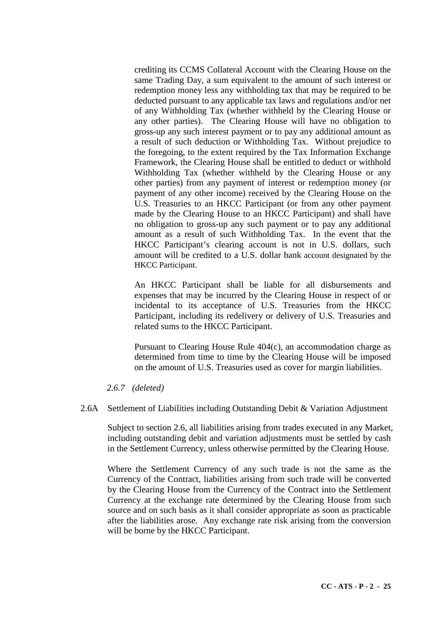crediting its CCMS Collateral Account with the Clearing House on the same Trading Day, a sum equivalent to the amount of such interest or redemption money less any withholding tax that may be required to be deducted pursuant to any applicable tax laws and regulations and/or net of any Withholding Tax (whether withheld by the Clearing House or any other parties). The Clearing House will have no obligation to gross-up any such interest payment or to pay any additional amount as a result of such deduction or Withholding Tax. Without prejudice to the foregoing, to the extent required by the Tax Information Exchange Framework, the Clearing House shall be entitled to deduct or withhold Withholding Tax (whether withheld by the Clearing House or any other parties) from any payment of interest or redemption money (or payment of any other income) received by the Clearing House on the U.S. Treasuries to an HKCC Participant (or from any other payment made by the Clearing House to an HKCC Participant) and shall have no obligation to gross-up any such payment or to pay any additional amount as a result of such Withholding Tax. In the event that the HKCC Participant's clearing account is not in U.S. dollars, such amount will be credited to a U.S. dollar bank account designated by the HKCC Participant.

An HKCC Participant shall be liable for all disbursements and expenses that may be incurred by the Clearing House in respect of or incidental to its acceptance of U.S. Treasuries from the HKCC Participant, including its redelivery or delivery of U.S. Treasuries and related sums to the HKCC Participant.

Pursuant to Clearing House Rule 404(c), an accommodation charge as determined from time to time by the Clearing House will be imposed on the amount of U.S. Treasuries used as cover for margin liabilities.

## *2.6.7 (deleted)*

2.6A Settlement of Liabilities including Outstanding Debit & Variation Adjustment

Subject to section 2.6, all liabilities arising from trades executed in any Market, including outstanding debit and variation adjustments must be settled by cash in the Settlement Currency, unless otherwise permitted by the Clearing House.

Where the Settlement Currency of any such trade is not the same as the Currency of the Contract, liabilities arising from such trade will be converted by the Clearing House from the Currency of the Contract into the Settlement Currency at the exchange rate determined by the Clearing House from such source and on such basis as it shall consider appropriate as soon as practicable after the liabilities arose. Any exchange rate risk arising from the conversion will be borne by the HKCC Participant.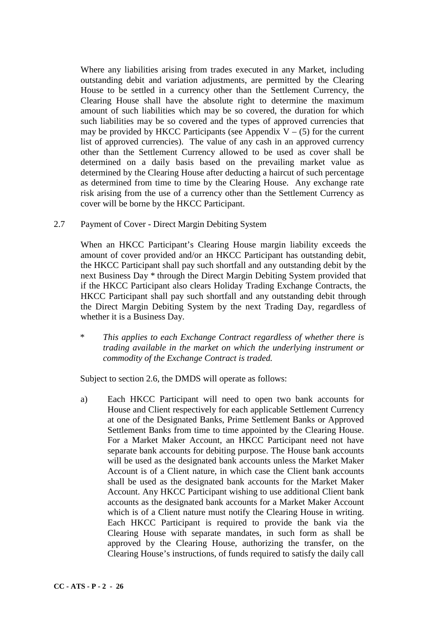Where any liabilities arising from trades executed in any Market, including outstanding debit and variation adjustments, are permitted by the Clearing House to be settled in a currency other than the Settlement Currency, the Clearing House shall have the absolute right to determine the maximum amount of such liabilities which may be so covered, the duration for which such liabilities may be so covered and the types of approved currencies that may be provided by HKCC Participants (see Appendix  $V - (5)$  for the current list of approved currencies). The value of any cash in an approved currency other than the Settlement Currency allowed to be used as cover shall be determined on a daily basis based on the prevailing market value as determined by the Clearing House after deducting a haircut of such percentage as determined from time to time by the Clearing House. Any exchange rate risk arising from the use of a currency other than the Settlement Currency as cover will be borne by the HKCC Participant.

2.7 Payment of Cover - Direct Margin Debiting System

When an HKCC Participant's Clearing House margin liability exceeds the amount of cover provided and/or an HKCC Participant has outstanding debit, the HKCC Participant shall pay such shortfall and any outstanding debit by the next Business Day \* through the Direct Margin Debiting System provided that if the HKCC Participant also clears Holiday Trading Exchange Contracts, the HKCC Participant shall pay such shortfall and any outstanding debit through the Direct Margin Debiting System by the next Trading Day, regardless of whether it is a Business Day.

\* *This applies to each Exchange Contract regardless of whether there is trading available in the market on which the underlying instrument or commodity of the Exchange Contract is traded.*

Subject to section 2.6, the DMDS will operate as follows:

a) Each HKCC Participant will need to open two bank accounts for House and Client respectively for each applicable Settlement Currency at one of the Designated Banks, Prime Settlement Banks or Approved Settlement Banks from time to time appointed by the Clearing House. For a Market Maker Account, an HKCC Participant need not have separate bank accounts for debiting purpose. The House bank accounts will be used as the designated bank accounts unless the Market Maker Account is of a Client nature, in which case the Client bank accounts shall be used as the designated bank accounts for the Market Maker Account. Any HKCC Participant wishing to use additional Client bank accounts as the designated bank accounts for a Market Maker Account which is of a Client nature must notify the Clearing House in writing. Each HKCC Participant is required to provide the bank via the Clearing House with separate mandates, in such form as shall be approved by the Clearing House, authorizing the transfer, on the Clearing House's instructions, of funds required to satisfy the daily call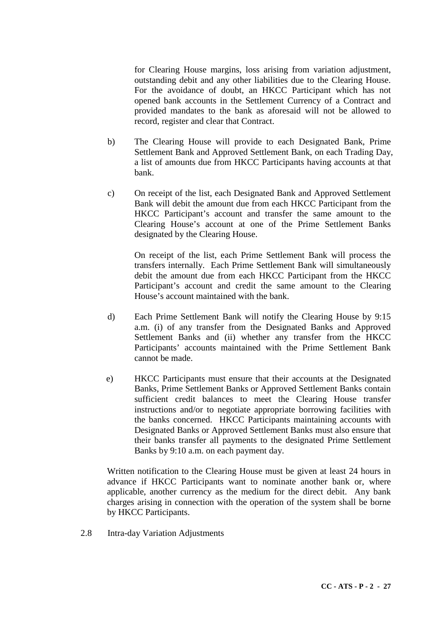for Clearing House margins, loss arising from variation adjustment, outstanding debit and any other liabilities due to the Clearing House. For the avoidance of doubt, an HKCC Participant which has not opened bank accounts in the Settlement Currency of a Contract and provided mandates to the bank as aforesaid will not be allowed to record, register and clear that Contract.

- b) The Clearing House will provide to each Designated Bank, Prime Settlement Bank and Approved Settlement Bank, on each Trading Day, a list of amounts due from HKCC Participants having accounts at that bank.
- c) On receipt of the list, each Designated Bank and Approved Settlement Bank will debit the amount due from each HKCC Participant from the HKCC Participant's account and transfer the same amount to the Clearing House's account at one of the Prime Settlement Banks designated by the Clearing House.

On receipt of the list, each Prime Settlement Bank will process the transfers internally. Each Prime Settlement Bank will simultaneously debit the amount due from each HKCC Participant from the HKCC Participant's account and credit the same amount to the Clearing House's account maintained with the bank.

- d) Each Prime Settlement Bank will notify the Clearing House by 9:15 a.m. (i) of any transfer from the Designated Banks and Approved Settlement Banks and (ii) whether any transfer from the HKCC Participants' accounts maintained with the Prime Settlement Bank cannot be made.
- e) HKCC Participants must ensure that their accounts at the Designated Banks, Prime Settlement Banks or Approved Settlement Banks contain sufficient credit balances to meet the Clearing House transfer instructions and/or to negotiate appropriate borrowing facilities with the banks concerned. HKCC Participants maintaining accounts with Designated Banks or Approved Settlement Banks must also ensure that their banks transfer all payments to the designated Prime Settlement Banks by 9:10 a.m. on each payment day.

Written notification to the Clearing House must be given at least 24 hours in advance if HKCC Participants want to nominate another bank or, where applicable, another currency as the medium for the direct debit. Any bank charges arising in connection with the operation of the system shall be borne by HKCC Participants.

2.8 Intra-day Variation Adjustments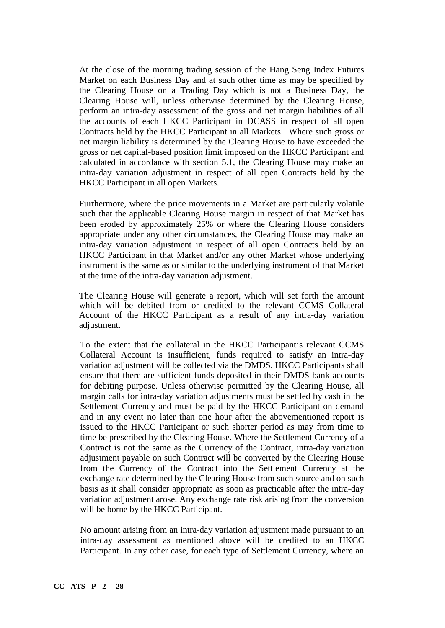At the close of the morning trading session of the Hang Seng Index Futures Market on each Business Day and at such other time as may be specified by the Clearing House on a Trading Day which is not a Business Day, the Clearing House will, unless otherwise determined by the Clearing House, perform an intra-day assessment of the gross and net margin liabilities of all the accounts of each HKCC Participant in DCASS in respect of all open Contracts held by the HKCC Participant in all Markets. Where such gross or net margin liability is determined by the Clearing House to have exceeded the gross or net capital-based position limit imposed on the HKCC Participant and calculated in accordance with section 5.1, the Clearing House may make an intra-day variation adjustment in respect of all open Contracts held by the HKCC Participant in all open Markets.

Furthermore, where the price movements in a Market are particularly volatile such that the applicable Clearing House margin in respect of that Market has been eroded by approximately 25% or where the Clearing House considers appropriate under any other circumstances, the Clearing House may make an intra-day variation adjustment in respect of all open Contracts held by an HKCC Participant in that Market and/or any other Market whose underlying instrument is the same as or similar to the underlying instrument of that Market at the time of the intra-day variation adjustment.

The Clearing House will generate a report, which will set forth the amount which will be debited from or credited to the relevant CCMS Collateral Account of the HKCC Participant as a result of any intra-day variation adjustment.

To the extent that the collateral in the HKCC Participant's relevant CCMS Collateral Account is insufficient, funds required to satisfy an intra-day variation adjustment will be collected via the DMDS. HKCC Participants shall ensure that there are sufficient funds deposited in their DMDS bank accounts for debiting purpose. Unless otherwise permitted by the Clearing House, all margin calls for intra-day variation adjustments must be settled by cash in the Settlement Currency and must be paid by the HKCC Participant on demand and in any event no later than one hour after the abovementioned report is issued to the HKCC Participant or such shorter period as may from time to time be prescribed by the Clearing House. Where the Settlement Currency of a Contract is not the same as the Currency of the Contract, intra-day variation adjustment payable on such Contract will be converted by the Clearing House from the Currency of the Contract into the Settlement Currency at the exchange rate determined by the Clearing House from such source and on such basis as it shall consider appropriate as soon as practicable after the intra-day variation adjustment arose. Any exchange rate risk arising from the conversion will be borne by the HKCC Participant.

No amount arising from an intra-day variation adjustment made pursuant to an intra-day assessment as mentioned above will be credited to an HKCC Participant. In any other case, for each type of Settlement Currency, where an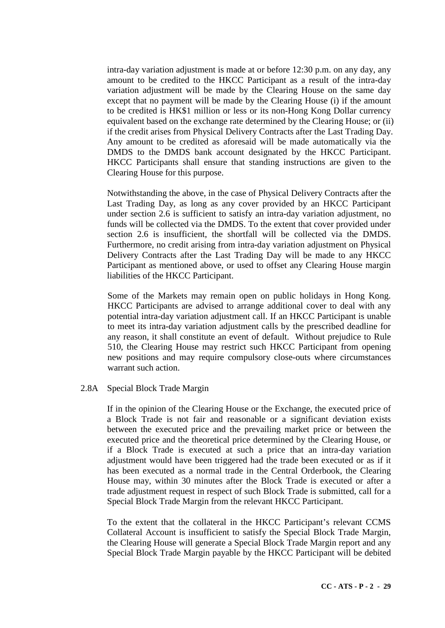intra-day variation adjustment is made at or before 12:30 p.m. on any day, any amount to be credited to the HKCC Participant as a result of the intra-day variation adjustment will be made by the Clearing House on the same day except that no payment will be made by the Clearing House (i) if the amount to be credited is HK\$1 million or less or its non-Hong Kong Dollar currency equivalent based on the exchange rate determined by the Clearing House; or (ii) if the credit arises from Physical Delivery Contracts after the Last Trading Day. Any amount to be credited as aforesaid will be made automatically via the DMDS to the DMDS bank account designated by the HKCC Participant. HKCC Participants shall ensure that standing instructions are given to the Clearing House for this purpose.

Notwithstanding the above, in the case of Physical Delivery Contracts after the Last Trading Day, as long as any cover provided by an HKCC Participant under section 2.6 is sufficient to satisfy an intra-day variation adjustment, no funds will be collected via the DMDS. To the extent that cover provided under section 2.6 is insufficient, the shortfall will be collected via the DMDS. Furthermore, no credit arising from intra-day variation adjustment on Physical Delivery Contracts after the Last Trading Day will be made to any HKCC Participant as mentioned above, or used to offset any Clearing House margin liabilities of the HKCC Participant.

Some of the Markets may remain open on public holidays in Hong Kong. HKCC Participants are advised to arrange additional cover to deal with any potential intra-day variation adjustment call. If an HKCC Participant is unable to meet its intra-day variation adjustment calls by the prescribed deadline for any reason, it shall constitute an event of default. Without prejudice to Rule 510, the Clearing House may restrict such HKCC Participant from opening new positions and may require compulsory close-outs where circumstances warrant such action.

## 2.8A Special Block Trade Margin

If in the opinion of the Clearing House or the Exchange, the executed price of a Block Trade is not fair and reasonable or a significant deviation exists between the executed price and the prevailing market price or between the executed price and the theoretical price determined by the Clearing House, or if a Block Trade is executed at such a price that an intra-day variation adjustment would have been triggered had the trade been executed or as if it has been executed as a normal trade in the Central Orderbook, the Clearing House may, within 30 minutes after the Block Trade is executed or after a trade adjustment request in respect of such Block Trade is submitted, call for a Special Block Trade Margin from the relevant HKCC Participant.

To the extent that the collateral in the HKCC Participant's relevant CCMS Collateral Account is insufficient to satisfy the Special Block Trade Margin, the Clearing House will generate a Special Block Trade Margin report and any Special Block Trade Margin payable by the HKCC Participant will be debited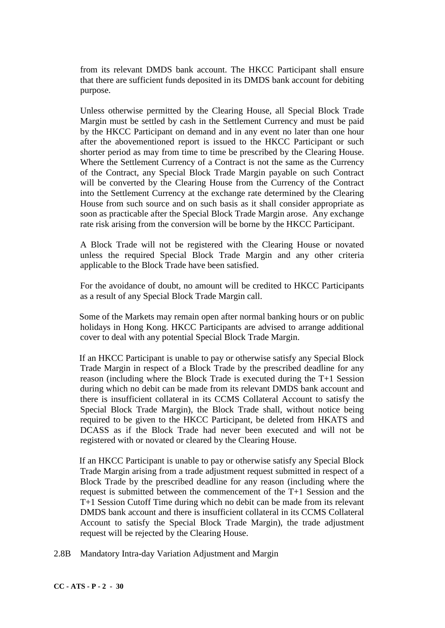from its relevant DMDS bank account. The HKCC Participant shall ensure that there are sufficient funds deposited in its DMDS bank account for debiting purpose.

Unless otherwise permitted by the Clearing House, all Special Block Trade Margin must be settled by cash in the Settlement Currency and must be paid by the HKCC Participant on demand and in any event no later than one hour after the abovementioned report is issued to the HKCC Participant or such shorter period as may from time to time be prescribed by the Clearing House. Where the Settlement Currency of a Contract is not the same as the Currency of the Contract, any Special Block Trade Margin payable on such Contract will be converted by the Clearing House from the Currency of the Contract into the Settlement Currency at the exchange rate determined by the Clearing House from such source and on such basis as it shall consider appropriate as soon as practicable after the Special Block Trade Margin arose. Any exchange rate risk arising from the conversion will be borne by the HKCC Participant.

A Block Trade will not be registered with the Clearing House or novated unless the required Special Block Trade Margin and any other criteria applicable to the Block Trade have been satisfied.

For the avoidance of doubt, no amount will be credited to HKCC Participants as a result of any Special Block Trade Margin call.

Some of the Markets may remain open after normal banking hours or on public holidays in Hong Kong. HKCC Participants are advised to arrange additional cover to deal with any potential Special Block Trade Margin.

If an HKCC Participant is unable to pay or otherwise satisfy any Special Block Trade Margin in respect of a Block Trade by the prescribed deadline for any reason (including where the Block Trade is executed during the T+1 Session during which no debit can be made from its relevant DMDS bank account and there is insufficient collateral in its CCMS Collateral Account to satisfy the Special Block Trade Margin), the Block Trade shall, without notice being required to be given to the HKCC Participant, be deleted from HKATS and DCASS as if the Block Trade had never been executed and will not be registered with or novated or cleared by the Clearing House.

If an HKCC Participant is unable to pay or otherwise satisfy any Special Block Trade Margin arising from a trade adjustment request submitted in respect of a Block Trade by the prescribed deadline for any reason (including where the request is submitted between the commencement of the T+1 Session and the T+1 Session Cutoff Time during which no debit can be made from its relevant DMDS bank account and there is insufficient collateral in its CCMS Collateral Account to satisfy the Special Block Trade Margin), the trade adjustment request will be rejected by the Clearing House.

2.8B Mandatory Intra-day Variation Adjustment and Margin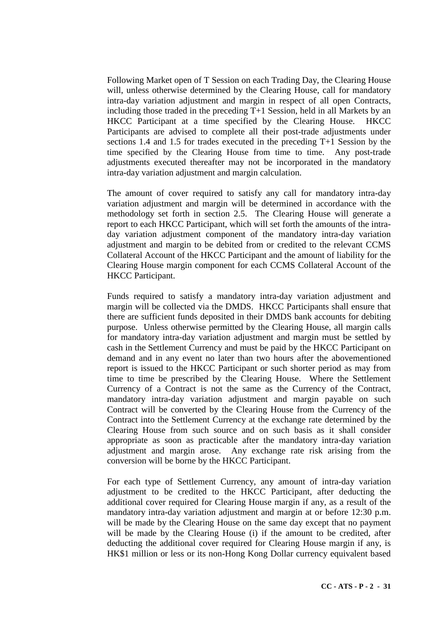Following Market open of T Session on each Trading Day, the Clearing House will, unless otherwise determined by the Clearing House, call for mandatory intra-day variation adjustment and margin in respect of all open Contracts, including those traded in the preceding  $T+1$  Session, held in all Markets by an HKCC Particinant at a time specified by the Clearing House. HKCC HKCC Participant at a time specified by the Clearing House. Participants are advised to complete all their post-trade adjustments under sections 1.4 and 1.5 for trades executed in the preceding T+1 Session by the time specified by the Clearing House from time to time. Any post-trade adjustments executed thereafter may not be incorporated in the mandatory intra-day variation adjustment and margin calculation.

The amount of cover required to satisfy any call for mandatory intra-day variation adjustment and margin will be determined in accordance with the methodology set forth in section 2.5. The Clearing House will generate a report to each HKCC Participant, which will set forth the amounts of the intraday variation adjustment component of the mandatory intra-day variation adjustment and margin to be debited from or credited to the relevant CCMS Collateral Account of the HKCC Participant and the amount of liability for the Clearing House margin component for each CCMS Collateral Account of the HKCC Participant.

Funds required to satisfy a mandatory intra-day variation adjustment and margin will be collected via the DMDS. HKCC Participants shall ensure that there are sufficient funds deposited in their DMDS bank accounts for debiting purpose. Unless otherwise permitted by the Clearing House, all margin calls for mandatory intra-day variation adjustment and margin must be settled by cash in the Settlement Currency and must be paid by the HKCC Participant on demand and in any event no later than two hours after the abovementioned report is issued to the HKCC Participant or such shorter period as may from time to time be prescribed by the Clearing House. Where the Settlement Currency of a Contract is not the same as the Currency of the Contract, mandatory intra-day variation adjustment and margin payable on such Contract will be converted by the Clearing House from the Currency of the Contract into the Settlement Currency at the exchange rate determined by the Clearing House from such source and on such basis as it shall consider appropriate as soon as practicable after the mandatory intra-day variation adjustment and margin arose. Any exchange rate risk arising from the conversion will be borne by the HKCC Participant.

For each type of Settlement Currency, any amount of intra-day variation adjustment to be credited to the HKCC Participant, after deducting the additional cover required for Clearing House margin if any, as a result of the mandatory intra-day variation adjustment and margin at or before 12:30 p.m. will be made by the Clearing House on the same day except that no payment will be made by the Clearing House (i) if the amount to be credited, after deducting the additional cover required for Clearing House margin if any, is HK\$1 million or less or its non-Hong Kong Dollar currency equivalent based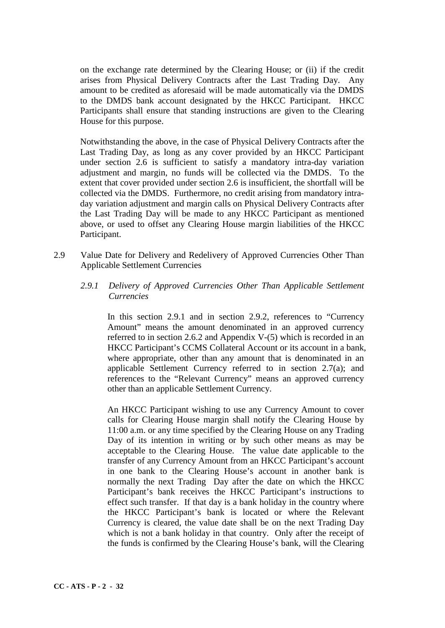on the exchange rate determined by the Clearing House; or (ii) if the credit arises from Physical Delivery Contracts after the Last Trading Day. Any amount to be credited as aforesaid will be made automatically via the DMDS to the DMDS bank account designated by the HKCC Participant. HKCC Participants shall ensure that standing instructions are given to the Clearing House for this purpose.

Notwithstanding the above, in the case of Physical Delivery Contracts after the Last Trading Day, as long as any cover provided by an HKCC Participant under section 2.6 is sufficient to satisfy a mandatory intra-day variation adjustment and margin, no funds will be collected via the DMDS. To the extent that cover provided under section 2.6 is insufficient, the shortfall will be collected via the DMDS. Furthermore, no credit arising from mandatory intraday variation adjustment and margin calls on Physical Delivery Contracts after the Last Trading Day will be made to any HKCC Participant as mentioned above, or used to offset any Clearing House margin liabilities of the HKCC Participant.

- 2.9 Value Date for Delivery and Redelivery of Approved Currencies Other Than Applicable Settlement Currencies
	- *2.9.1 Delivery of Approved Currencies Other Than Applicable Settlement Currencies*

In this section 2.9.1 and in section 2.9.2, references to "Currency Amount" means the amount denominated in an approved currency referred to in section 2.6.2 and Appendix V-(5) which is recorded in an HKCC Participant's CCMS Collateral Account or its account in a bank, where appropriate, other than any amount that is denominated in an applicable Settlement Currency referred to in section 2.7(a); and references to the "Relevant Currency" means an approved currency other than an applicable Settlement Currency.

An HKCC Participant wishing to use any Currency Amount to cover calls for Clearing House margin shall notify the Clearing House by 11:00 a.m. or any time specified by the Clearing House on any Trading Day of its intention in writing or by such other means as may be acceptable to the Clearing House. The value date applicable to the transfer of any Currency Amount from an HKCC Participant's account in one bank to the Clearing House's account in another bank is normally the next Trading Day after the date on which the HKCC Participant's bank receives the HKCC Participant's instructions to effect such transfer. If that day is a bank holiday in the country where the HKCC Participant's bank is located or where the Relevant Currency is cleared, the value date shall be on the next Trading Day which is not a bank holiday in that country. Only after the receipt of the funds is confirmed by the Clearing House's bank, will the Clearing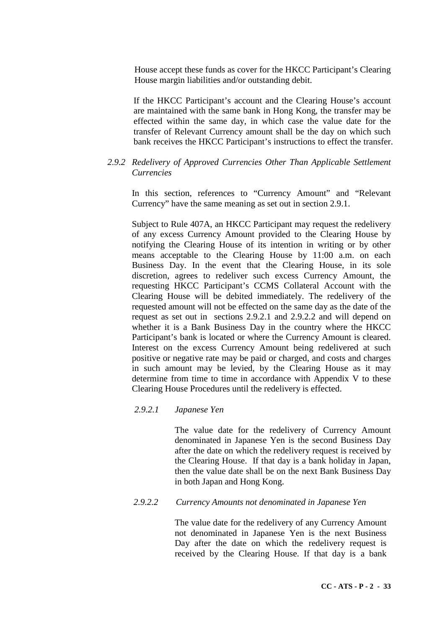House accept these funds as cover for the HKCC Participant's Clearing House margin liabilities and/or outstanding debit.

If the HKCC Participant's account and the Clearing House's account are maintained with the same bank in Hong Kong, the transfer may be effected within the same day, in which case the value date for the transfer of Relevant Currency amount shall be the day on which such bank receives the HKCC Participant's instructions to effect the transfer.

## *2.9.2 Redelivery of Approved Currencies Other Than Applicable Settlement Currencies*

In this section, references to "Currency Amount" and "Relevant Currency" have the same meaning as set out in section 2.9.1.

Subject to Rule 407A, an HKCC Participant may request the redelivery of any excess Currency Amount provided to the Clearing House by notifying the Clearing House of its intention in writing or by other means acceptable to the Clearing House by 11:00 a.m. on each Business Day. In the event that the Clearing House, in its sole discretion, agrees to redeliver such excess Currency Amount, the requesting HKCC Participant's CCMS Collateral Account with the Clearing House will be debited immediately. The redelivery of the requested amount will not be effected on the same day as the date of the request as set out in sections 2.9.2.1 and 2.9.2.2 and will depend on whether it is a Bank Business Day in the country where the HKCC Participant's bank is located or where the Currency Amount is cleared. Interest on the excess Currency Amount being redelivered at such positive or negative rate may be paid or charged, and costs and charges in such amount may be levied, by the Clearing House as it may determine from time to time in accordance with Appendix V to these Clearing House Procedures until the redelivery is effected.

#### *2.9.2.1 Japanese Yen*

The value date for the redelivery of Currency Amount denominated in Japanese Yen is the second Business Day after the date on which the redelivery request is received by the Clearing House. If that day is a bank holiday in Japan, then the value date shall be on the next Bank Business Day in both Japan and Hong Kong.

## *2.9.2.2 Currency Amounts not denominated in Japanese Yen*

The value date for the redelivery of any Currency Amount not denominated in Japanese Yen is the next Business Day after the date on which the redelivery request is received by the Clearing House. If that day is a bank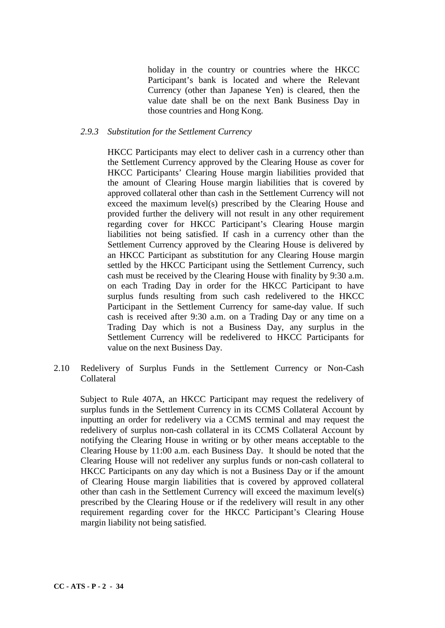holiday in the country or countries where the HKCC Participant's bank is located and where the Relevant Currency (other than Japanese Yen) is cleared, then the value date shall be on the next Bank Business Day in those countries and Hong Kong.

### *2.9.3 Substitution for the Settlement Currency*

HKCC Participants may elect to deliver cash in a currency other than the Settlement Currency approved by the Clearing House as cover for HKCC Participants' Clearing House margin liabilities provided that the amount of Clearing House margin liabilities that is covered by approved collateral other than cash in the Settlement Currency will not exceed the maximum level(s) prescribed by the Clearing House and provided further the delivery will not result in any other requirement regarding cover for HKCC Participant's Clearing House margin liabilities not being satisfied. If cash in a currency other than the Settlement Currency approved by the Clearing House is delivered by an HKCC Participant as substitution for any Clearing House margin settled by the HKCC Participant using the Settlement Currency, such cash must be received by the Clearing House with finality by 9:30 a.m. on each Trading Day in order for the HKCC Participant to have surplus funds resulting from such cash redelivered to the HKCC Participant in the Settlement Currency for same-day value. If such cash is received after 9:30 a.m. on a Trading Day or any time on a Trading Day which is not a Business Day, any surplus in the Settlement Currency will be redelivered to HKCC Participants for value on the next Business Day.

2.10 Redelivery of Surplus Funds in the Settlement Currency or Non-Cash Collateral

Subject to Rule 407A, an HKCC Participant may request the redelivery of surplus funds in the Settlement Currency in its CCMS Collateral Account by inputting an order for redelivery via a CCMS terminal and may request the redelivery of surplus non-cash collateral in its CCMS Collateral Account by notifying the Clearing House in writing or by other means acceptable to the Clearing House by 11:00 a.m. each Business Day. It should be noted that the Clearing House will not redeliver any surplus funds or non-cash collateral to HKCC Participants on any day which is not a Business Day or if the amount of Clearing House margin liabilities that is covered by approved collateral other than cash in the Settlement Currency will exceed the maximum level(s) prescribed by the Clearing House or if the redelivery will result in any other requirement regarding cover for the HKCC Participant's Clearing House margin liability not being satisfied.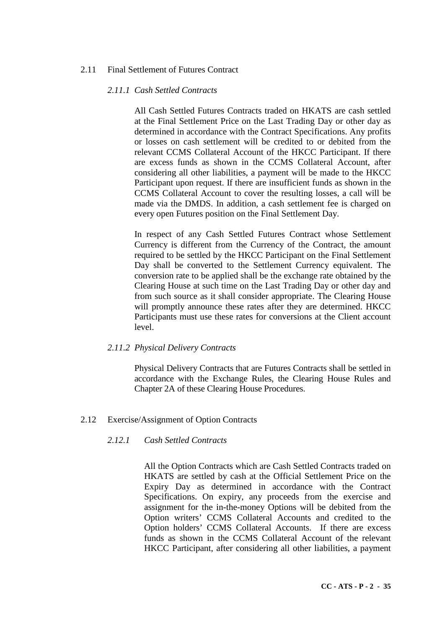# 2.11 Final Settlement of Futures Contract

### *2.11.1 Cash Settled Contracts*

All Cash Settled Futures Contracts traded on HKATS are cash settled at the Final Settlement Price on the Last Trading Day or other day as determined in accordance with the Contract Specifications. Any profits or losses on cash settlement will be credited to or debited from the relevant CCMS Collateral Account of the HKCC Participant. If there are excess funds as shown in the CCMS Collateral Account, after considering all other liabilities, a payment will be made to the HKCC Participant upon request. If there are insufficient funds as shown in the CCMS Collateral Account to cover the resulting losses, a call will be made via the DMDS. In addition, a cash settlement fee is charged on every open Futures position on the Final Settlement Day.

In respect of any Cash Settled Futures Contract whose Settlement Currency is different from the Currency of the Contract, the amount required to be settled by the HKCC Participant on the Final Settlement Day shall be converted to the Settlement Currency equivalent. The conversion rate to be applied shall be the exchange rate obtained by the Clearing House at such time on the Last Trading Day or other day and from such source as it shall consider appropriate. The Clearing House will promptly announce these rates after they are determined. HKCC Participants must use these rates for conversions at the Client account level.

## *2.11.2 Physical Delivery Contracts*

Physical Delivery Contracts that are Futures Contracts shall be settled in accordance with the Exchange Rules, the Clearing House Rules and Chapter 2A of these Clearing House Procedures.

# 2.12 Exercise/Assignment of Option Contracts

## *2.12.1 Cash Settled Contracts*

All the Option Contracts which are Cash Settled Contracts traded on HKATS are settled by cash at the Official Settlement Price on the Expiry Day as determined in accordance with the Contract Specifications. On expiry, any proceeds from the exercise and assignment for the in-the-money Options will be debited from the Option writers' CCMS Collateral Accounts and credited to the Option holders' CCMS Collateral Accounts. If there are excess funds as shown in the CCMS Collateral Account of the relevant HKCC Participant, after considering all other liabilities, a payment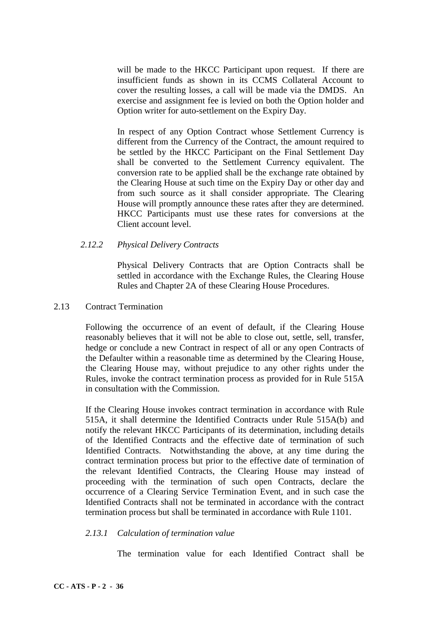will be made to the HKCC Participant upon request. If there are insufficient funds as shown in its CCMS Collateral Account to cover the resulting losses, a call will be made via the DMDS. An exercise and assignment fee is levied on both the Option holder and Option writer for auto-settlement on the Expiry Day.

In respect of any Option Contract whose Settlement Currency is different from the Currency of the Contract, the amount required to be settled by the HKCC Participant on the Final Settlement Day shall be converted to the Settlement Currency equivalent. The conversion rate to be applied shall be the exchange rate obtained by the Clearing House at such time on the Expiry Day or other day and from such source as it shall consider appropriate. The Clearing House will promptly announce these rates after they are determined. HKCC Participants must use these rates for conversions at the Client account level.

## *2.12.2 Physical Delivery Contracts*

Physical Delivery Contracts that are Option Contracts shall be settled in accordance with the Exchange Rules, the Clearing House Rules and Chapter 2A of these Clearing House Procedures.

### 2.13 Contract Termination

Following the occurrence of an event of default, if the Clearing House reasonably believes that it will not be able to close out, settle, sell, transfer, hedge or conclude a new Contract in respect of all or any open Contracts of the Defaulter within a reasonable time as determined by the Clearing House, the Clearing House may, without prejudice to any other rights under the Rules, invoke the contract termination process as provided for in Rule 515A in consultation with the Commission.

If the Clearing House invokes contract termination in accordance with Rule 515A, it shall determine the Identified Contracts under Rule 515A(b) and notify the relevant HKCC Participants of its determination, including details of the Identified Contracts and the effective date of termination of such Identified Contracts. Notwithstanding the above, at any time during the contract termination process but prior to the effective date of termination of the relevant Identified Contracts, the Clearing House may instead of proceeding with the termination of such open Contracts, declare the occurrence of a Clearing Service Termination Event, and in such case the Identified Contracts shall not be terminated in accordance with the contract termination process but shall be terminated in accordance with Rule 1101.

## *2.13.1 Calculation of termination value*

The termination value for each Identified Contract shall be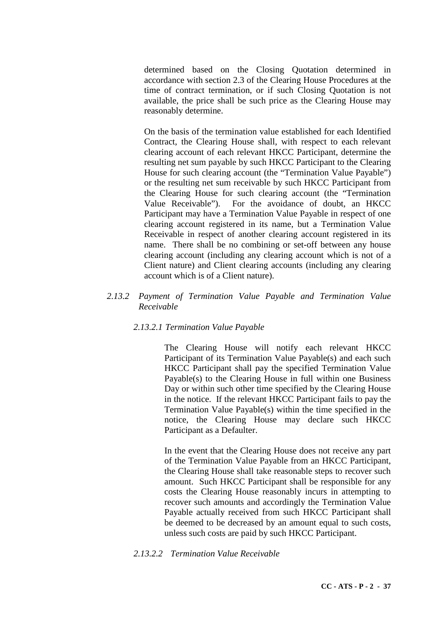determined based on the Closing Quotation determined in accordance with section 2.3 of the Clearing House Procedures at the time of contract termination, or if such Closing Quotation is not available, the price shall be such price as the Clearing House may reasonably determine.

On the basis of the termination value established for each Identified Contract, the Clearing House shall, with respect to each relevant clearing account of each relevant HKCC Participant, determine the resulting net sum payable by such HKCC Participant to the Clearing House for such clearing account (the "Termination Value Payable") or the resulting net sum receivable by such HKCC Participant from the Clearing House for such clearing account (the "Termination Value Receivable"). For the avoidance of doubt, an HKCC Participant may have a Termination Value Payable in respect of one clearing account registered in its name, but a Termination Value Receivable in respect of another clearing account registered in its name. There shall be no combining or set-off between any house clearing account (including any clearing account which is not of a Client nature) and Client clearing accounts (including any clearing account which is of a Client nature).

## *2.13.2 Payment of Termination Value Payable and Termination Value Receivable*

## *2.13.2.1 Termination Value Payable*

The Clearing House will notify each relevant HKCC Participant of its Termination Value Payable(s) and each such HKCC Participant shall pay the specified Termination Value Payable(s) to the Clearing House in full within one Business Day or within such other time specified by the Clearing House in the notice. If the relevant HKCC Participant fails to pay the Termination Value Payable(s) within the time specified in the notice, the Clearing House may declare such HKCC Participant as a Defaulter.

In the event that the Clearing House does not receive any part of the Termination Value Payable from an HKCC Participant, the Clearing House shall take reasonable steps to recover such amount. Such HKCC Participant shall be responsible for any costs the Clearing House reasonably incurs in attempting to recover such amounts and accordingly the Termination Value Payable actually received from such HKCC Participant shall be deemed to be decreased by an amount equal to such costs, unless such costs are paid by such HKCC Participant.

## *2.13.2.2 Termination Value Receivable*